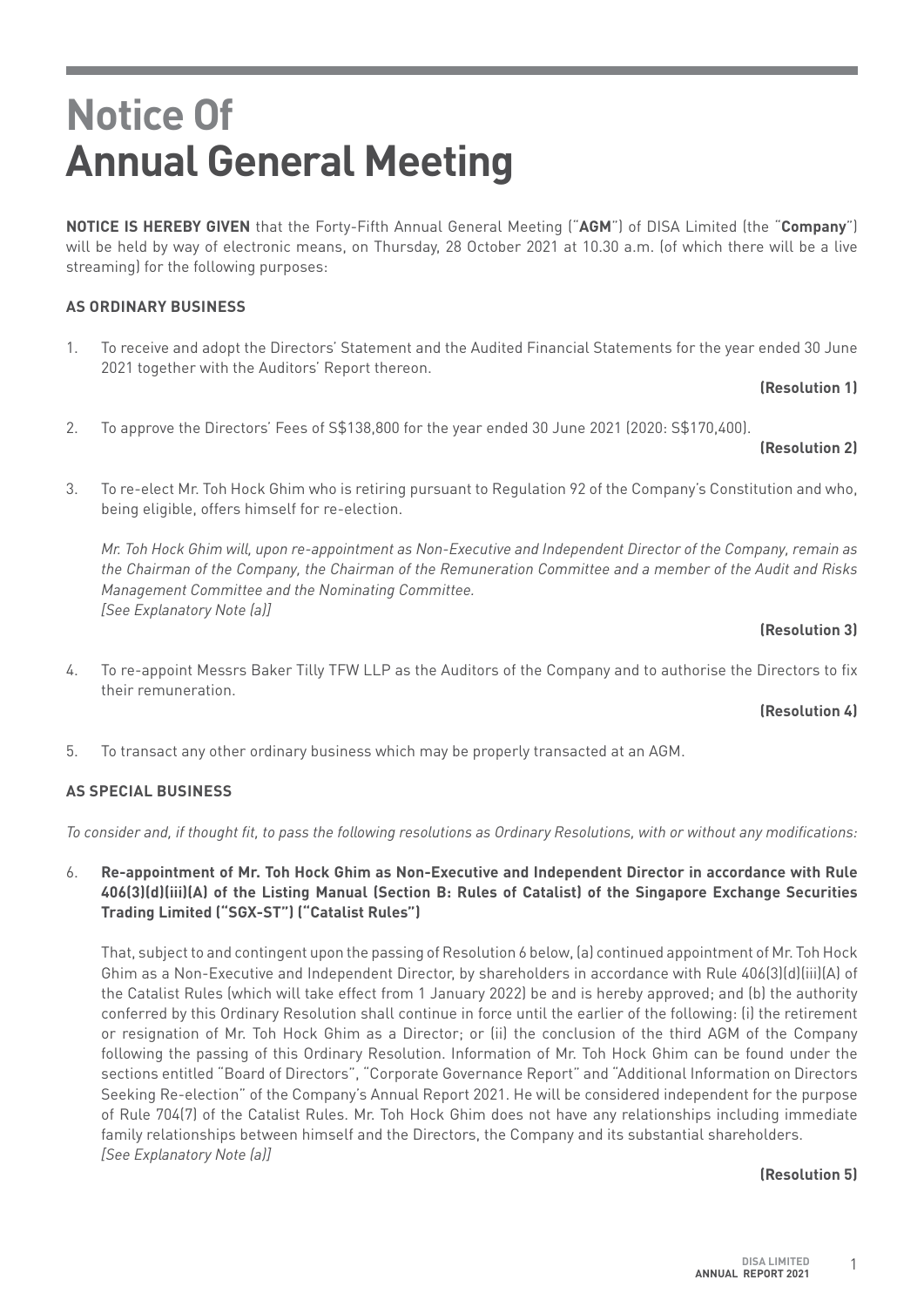**NOTICE IS HEREBY GIVEN** that the Forty-Fifth Annual General Meeting ("**AGM**") of DISA Limited (the "**Company**") will be held by way of electronic means, on Thursday, 28 October 2021 at 10.30 a.m. (of which there will be a live streaming) for the following purposes:

## **AS ORDINARY BUSINESS**

1. To receive and adopt the Directors' Statement and the Audited Financial Statements for the year ended 30 June 2021 together with the Auditors' Report thereon.

**(Resolution 1)**

2. To approve the Directors' Fees of S\$138,800 for the year ended 30 June 2021 (2020: S\$170,400).

## **(Resolution 2)**

3. To re-elect Mr. Toh Hock Ghim who is retiring pursuant to Regulation 92 of the Company's Constitution and who, being eligible, offers himself for re-election.

*Mr. Toh Hock Ghim will, upon re-appointment as Non-Executive and Independent Director of the Company, remain as the Chairman of the Company, the Chairman of the Remuneration Committee and a member of the Audit and Risks Management Committee and the Nominating Committee. [See Explanatory Note (a)]* 

### **(Resolution 3)**

4. To re-appoint Messrs Baker Tilly TFW LLP as the Auditors of the Company and to authorise the Directors to fix their remuneration.

### **(Resolution 4)**

5. To transact any other ordinary business which may be properly transacted at an AGM.

## **AS SPECIAL BUSINESS**

*To consider and, if thought fit, to pass the following resolutions as Ordinary Resolutions, with or without any modifications:*

6. **Re-appointment of Mr. Toh Hock Ghim as Non-Executive and Independent Director in accordance with Rule 406(3)(d)(iii)(A) of the Listing Manual (Section B: Rules of Catalist) of the Singapore Exchange Securities Trading Limited ("SGX-ST") ("Catalist Rules")**

That, subject to and contingent upon the passing of Resolution 6 below, (a) continued appointment of Mr. Toh Hock Ghim as a Non-Executive and Independent Director, by shareholders in accordance with Rule 406(3)(d)(iii)(A) of the Catalist Rules (which will take effect from 1 January 2022) be and is hereby approved; and (b) the authority conferred by this Ordinary Resolution shall continue in force until the earlier of the following: (i) the retirement or resignation of Mr. Toh Hock Ghim as a Director; or (ii) the conclusion of the third AGM of the Company following the passing of this Ordinary Resolution. Information of Mr. Toh Hock Ghim can be found under the sections entitled "Board of Directors", "Corporate Governance Report" and "Additional Information on Directors Seeking Re-election" of the Company's Annual Report 2021. He will be considered independent for the purpose of Rule 704(7) of the Catalist Rules. Mr. Toh Hock Ghim does not have any relationships including immediate family relationships between himself and the Directors, the Company and its substantial shareholders. *[See Explanatory Note (a)]*

### **(Resolution 5)**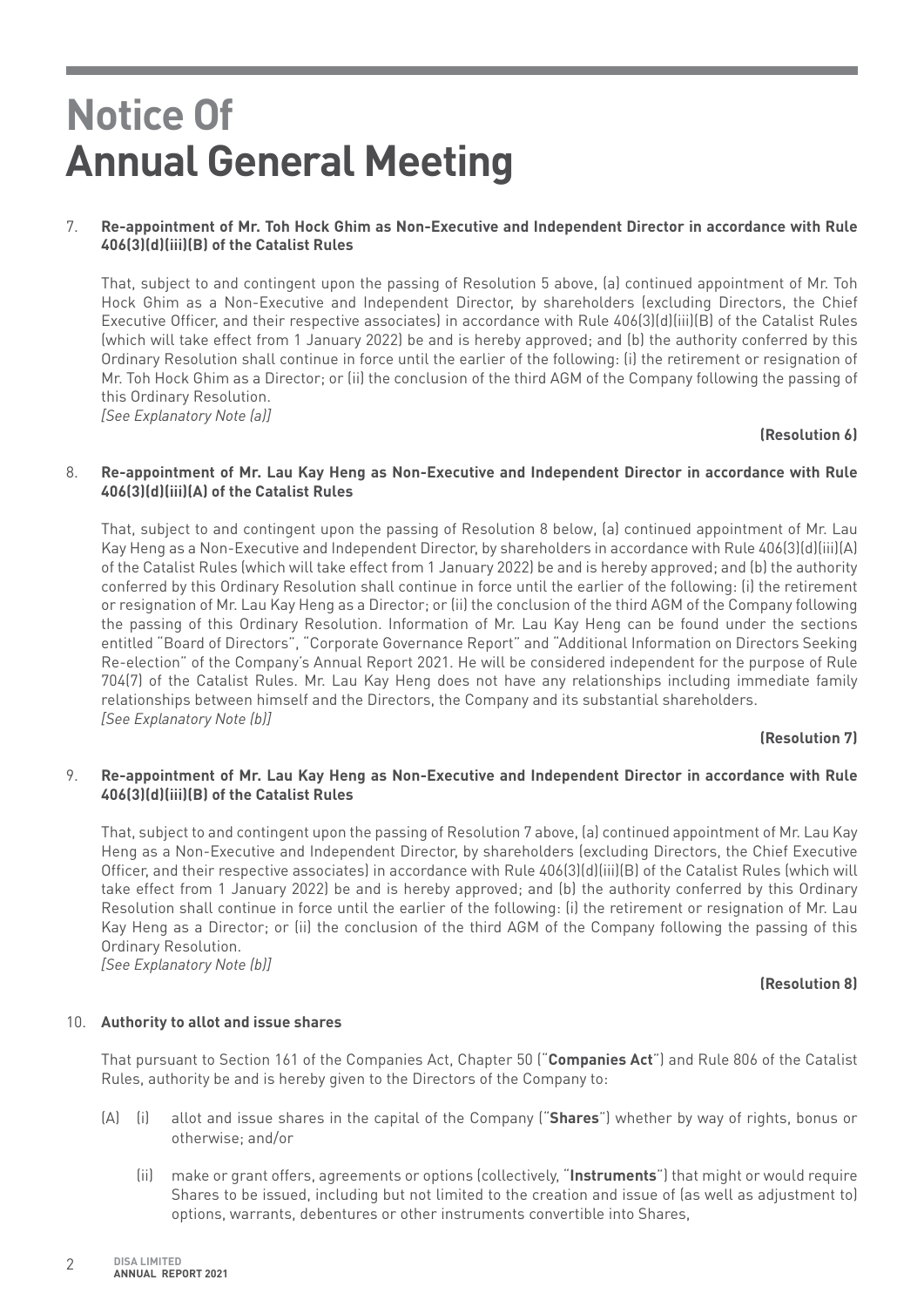## 7. **Re-appointment of Mr. Toh Hock Ghim as Non-Executive and Independent Director in accordance with Rule 406(3)(d)(iii)(B) of the Catalist Rules**

That, subject to and contingent upon the passing of Resolution 5 above, (a) continued appointment of Mr. Toh Hock Ghim as a Non-Executive and Independent Director, by shareholders (excluding Directors, the Chief Executive Officer, and their respective associates) in accordance with Rule 406(3)(d)(iii)(B) of the Catalist Rules (which will take effect from 1 January 2022) be and is hereby approved; and (b) the authority conferred by this Ordinary Resolution shall continue in force until the earlier of the following: (i) the retirement or resignation of Mr. Toh Hock Ghim as a Director; or (ii) the conclusion of the third AGM of the Company following the passing of this Ordinary Resolution. *[See Explanatory Note (a)]*

#### **(Resolution 6)**

#### 8. **Re-appointment of Mr. Lau Kay Heng as Non-Executive and Independent Director in accordance with Rule 406(3)(d)(iii)(A) of the Catalist Rules**

That, subject to and contingent upon the passing of Resolution 8 below, (a) continued appointment of Mr. Lau Kay Heng as a Non-Executive and Independent Director, by shareholders in accordance with Rule 406(3)(d)(iii)(A) of the Catalist Rules (which will take effect from 1 January 2022) be and is hereby approved; and (b) the authority conferred by this Ordinary Resolution shall continue in force until the earlier of the following: (i) the retirement or resignation of Mr. Lau Kay Heng as a Director; or (ii) the conclusion of the third AGM of the Company following the passing of this Ordinary Resolution. Information of Mr. Lau Kay Heng can be found under the sections entitled "Board of Directors", "Corporate Governance Report" and "Additional Information on Directors Seeking Re-election" of the Company's Annual Report 2021. He will be considered independent for the purpose of Rule 704(7) of the Catalist Rules. Mr. Lau Kay Heng does not have any relationships including immediate family relationships between himself and the Directors, the Company and its substantial shareholders. *[See Explanatory Note (b)]*

## **(Resolution 7)**

### 9. **Re-appointment of Mr. Lau Kay Heng as Non-Executive and Independent Director in accordance with Rule 406(3)(d)(iii)(B) of the Catalist Rules**

That, subject to and contingent upon the passing of Resolution 7 above, (a) continued appointment of Mr. Lau Kay Heng as a Non-Executive and Independent Director, by shareholders (excluding Directors, the Chief Executive Officer, and their respective associates) in accordance with Rule 406(3)(d)(iii)(B) of the Catalist Rules (which will take effect from 1 January 2022) be and is hereby approved; and (b) the authority conferred by this Ordinary Resolution shall continue in force until the earlier of the following: (i) the retirement or resignation of Mr. Lau Kay Heng as a Director; or (ii) the conclusion of the third AGM of the Company following the passing of this Ordinary Resolution. *[See Explanatory Note (b)]*

**(Resolution 8)**

### 10. **Authority to allot and issue shares**

That pursuant to Section 161 of the Companies Act, Chapter 50 ("**Companies Act**") and Rule 806 of the Catalist Rules, authority be and is hereby given to the Directors of the Company to:

- (A) (i) allot and issue shares in the capital of the Company ("**Shares**") whether by way of rights, bonus or otherwise; and/or
	- (ii) make or grant offers, agreements or options (collectively, "**Instruments**") that might or would require Shares to be issued, including but not limited to the creation and issue of (as well as adjustment to) options, warrants, debentures or other instruments convertible into Shares,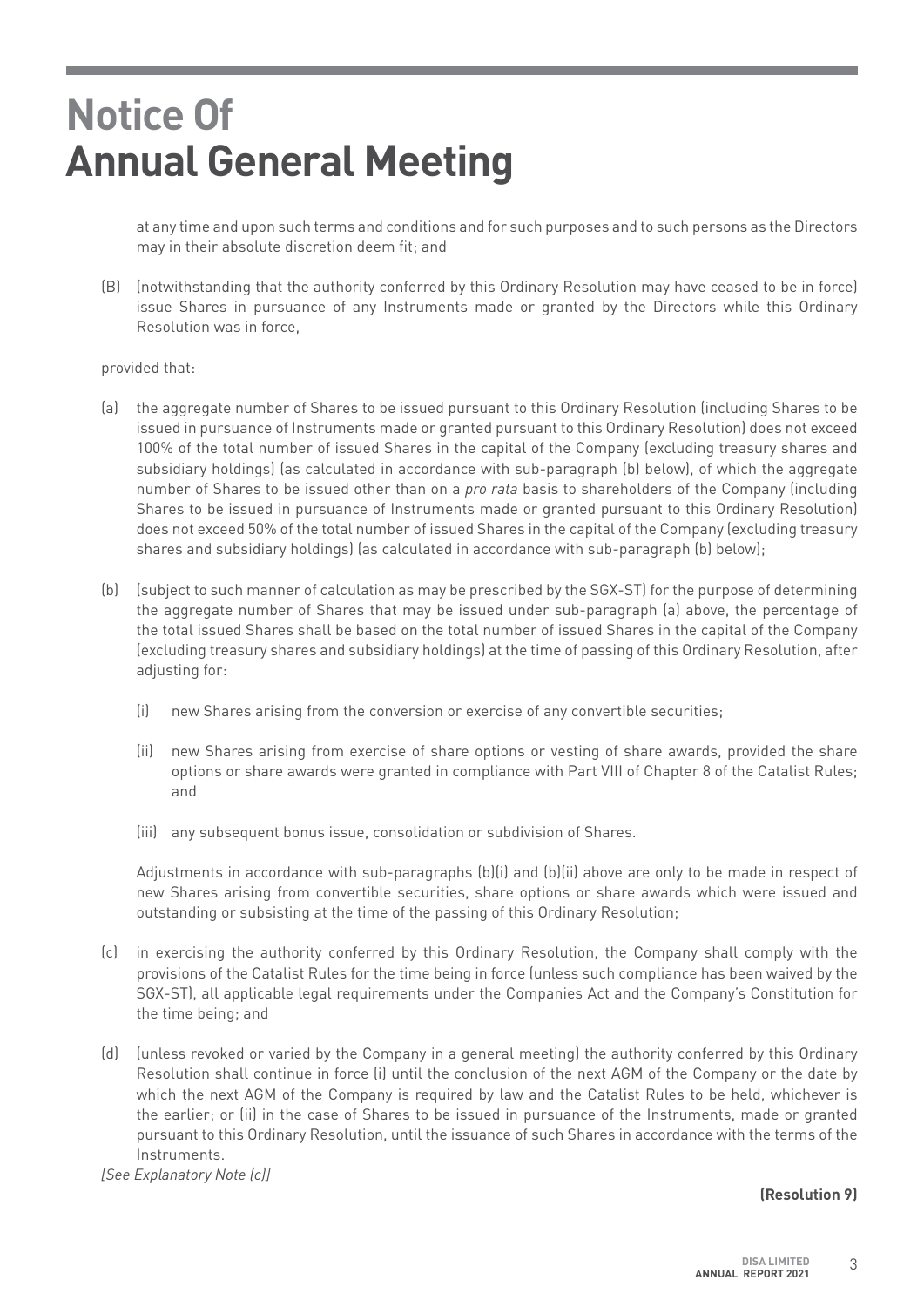at any time and upon such terms and conditions and for such purposes and to such persons as the Directors may in their absolute discretion deem fit; and

(B) (notwithstanding that the authority conferred by this Ordinary Resolution may have ceased to be in force) issue Shares in pursuance of any Instruments made or granted by the Directors while this Ordinary Resolution was in force,

#### provided that:

- (a) the aggregate number of Shares to be issued pursuant to this Ordinary Resolution (including Shares to be issued in pursuance of Instruments made or granted pursuant to this Ordinary Resolution) does not exceed 100% of the total number of issued Shares in the capital of the Company (excluding treasury shares and subsidiary holdings) (as calculated in accordance with sub-paragraph (b) below), of which the aggregate number of Shares to be issued other than on a *pro rata* basis to shareholders of the Company (including Shares to be issued in pursuance of Instruments made or granted pursuant to this Ordinary Resolution) does not exceed 50% of the total number of issued Shares in the capital of the Company (excluding treasury shares and subsidiary holdings) (as calculated in accordance with sub-paragraph (b) below);
- (b) (subject to such manner of calculation as may be prescribed by the SGX-ST) for the purpose of determining the aggregate number of Shares that may be issued under sub-paragraph (a) above, the percentage of the total issued Shares shall be based on the total number of issued Shares in the capital of the Company (excluding treasury shares and subsidiary holdings) at the time of passing of this Ordinary Resolution, after adjusting for:
	- (i) new Shares arising from the conversion or exercise of any convertible securities;
	- (ii) new Shares arising from exercise of share options or vesting of share awards, provided the share options or share awards were granted in compliance with Part VIII of Chapter 8 of the Catalist Rules; and
	- (iii) any subsequent bonus issue, consolidation or subdivision of Shares.

Adjustments in accordance with sub-paragraphs (b)(i) and (b)(ii) above are only to be made in respect of new Shares arising from convertible securities, share options or share awards which were issued and outstanding or subsisting at the time of the passing of this Ordinary Resolution;

- (c) in exercising the authority conferred by this Ordinary Resolution, the Company shall comply with the provisions of the Catalist Rules for the time being in force (unless such compliance has been waived by the SGX-ST), all applicable legal requirements under the Companies Act and the Company's Constitution for the time being; and
- (d) (unless revoked or varied by the Company in a general meeting) the authority conferred by this Ordinary Resolution shall continue in force (i) until the conclusion of the next AGM of the Company or the date by which the next AGM of the Company is required by law and the Catalist Rules to be held, whichever is the earlier; or (ii) in the case of Shares to be issued in pursuance of the Instruments, made or granted pursuant to this Ordinary Resolution, until the issuance of such Shares in accordance with the terms of the Instruments.

*[See Explanatory Note (c)]*

### **(Resolution 9)**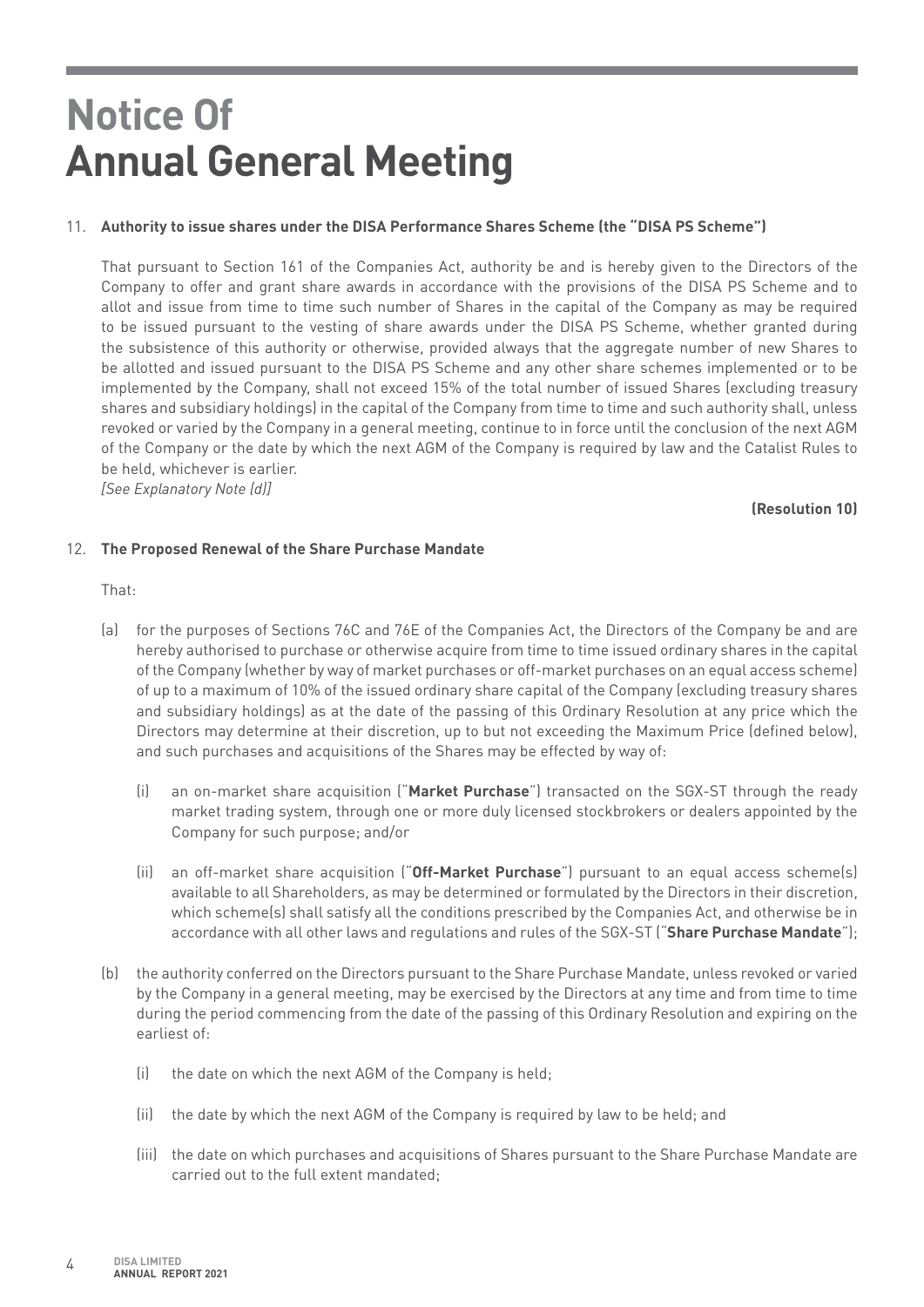## 11. **Authority to issue shares under the DISA Performance Shares Scheme (the "DISA PS Scheme")**

That pursuant to Section 161 of the Companies Act, authority be and is hereby given to the Directors of the Company to offer and grant share awards in accordance with the provisions of the DISA PS Scheme and to allot and issue from time to time such number of Shares in the capital of the Company as may be required to be issued pursuant to the vesting of share awards under the DISA PS Scheme, whether granted during the subsistence of this authority or otherwise, provided always that the aggregate number of new Shares to be allotted and issued pursuant to the DISA PS Scheme and any other share schemes implemented or to be implemented by the Company, shall not exceed 15% of the total number of issued Shares (excluding treasury shares and subsidiary holdings) in the capital of the Company from time to time and such authority shall, unless revoked or varied by the Company in a general meeting, continue to in force until the conclusion of the next AGM of the Company or the date by which the next AGM of the Company is required by law and the Catalist Rules to be held, whichever is earlier.

*[See Explanatory Note (d)]* 

### **(Resolution 10)**

### 12. **The Proposed Renewal of the Share Purchase Mandate**

That:

- (a) for the purposes of Sections 76C and 76E of the Companies Act, the Directors of the Company be and are hereby authorised to purchase or otherwise acquire from time to time issued ordinary shares in the capital of the Company (whether by way of market purchases or off-market purchases on an equal access scheme) of up to a maximum of 10% of the issued ordinary share capital of the Company (excluding treasury shares and subsidiary holdings) as at the date of the passing of this Ordinary Resolution at any price which the Directors may determine at their discretion, up to but not exceeding the Maximum Price (defined below), and such purchases and acquisitions of the Shares may be effected by way of:
	- (i) an on-market share acquisition ("**Market Purchase**") transacted on the SGX-ST through the ready market trading system, through one or more duly licensed stockbrokers or dealers appointed by the Company for such purpose; and/or
	- (ii) an off-market share acquisition ("**Off-Market Purchase**") pursuant to an equal access scheme(s) available to all Shareholders, as may be determined or formulated by the Directors in their discretion, which scheme(s) shall satisfy all the conditions prescribed by the Companies Act, and otherwise be in accordance with all other laws and regulations and rules of the SGX-ST ("**Share Purchase Mandate**");
- (b) the authority conferred on the Directors pursuant to the Share Purchase Mandate, unless revoked or varied by the Company in a general meeting, may be exercised by the Directors at any time and from time to time during the period commencing from the date of the passing of this Ordinary Resolution and expiring on the earliest of:
	- (i) the date on which the next AGM of the Company is held;
	- (ii) the date by which the next AGM of the Company is required by law to be held; and
	- (iii) the date on which purchases and acquisitions of Shares pursuant to the Share Purchase Mandate are carried out to the full extent mandated;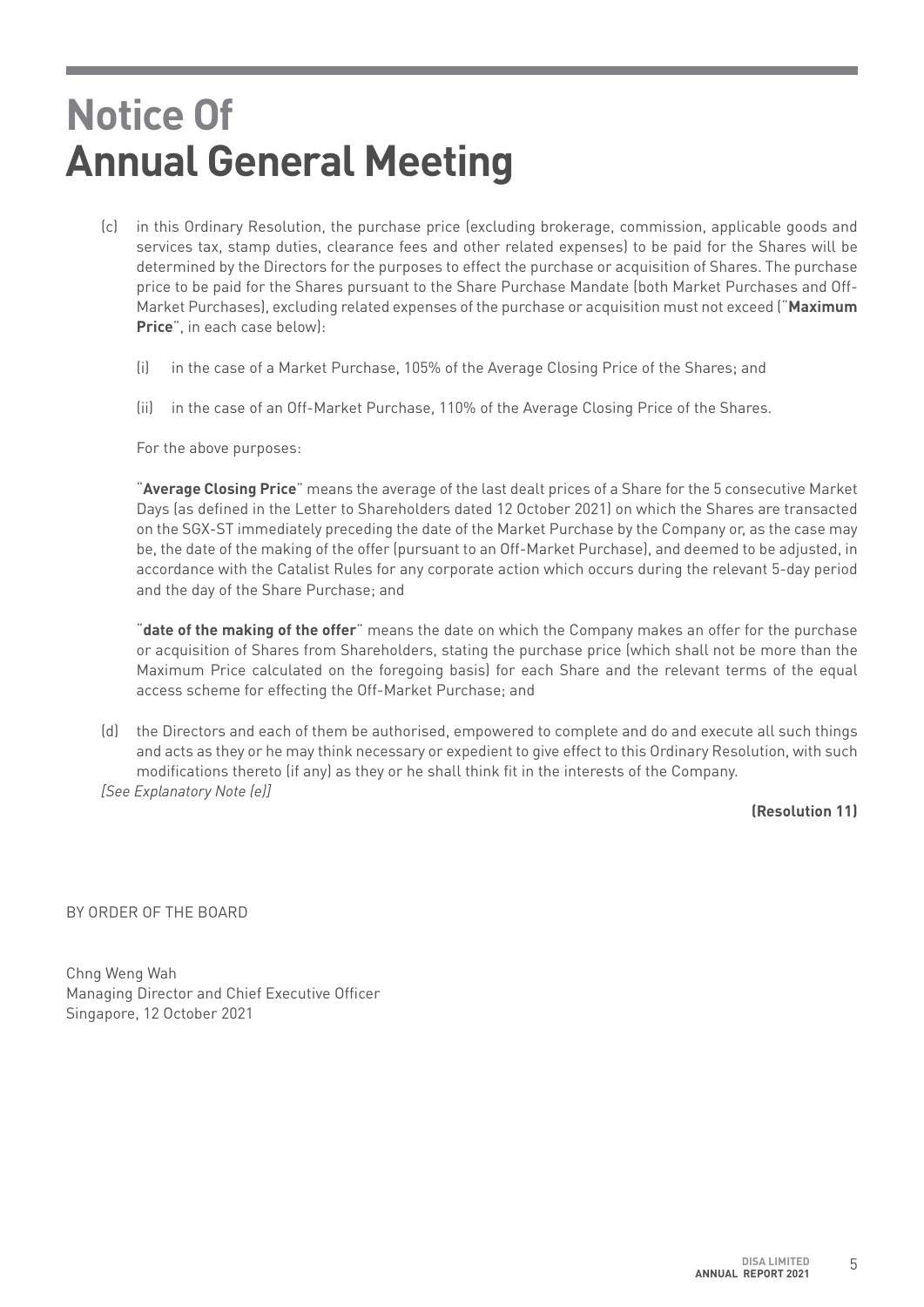- (c) in this Ordinary Resolution, the purchase price (excluding brokerage, commission, applicable goods and services tax, stamp duties, clearance fees and other related expenses) to be paid for the Shares will be determined by the Directors for the purposes to effect the purchase or acquisition of Shares. The purchase price to be paid for the Shares pursuant to the Share Purchase Mandate (both Market Purchases and Off-Market Purchases), excluding related expenses of the purchase or acquisition must not exceed ("**Maximum Price**", in each case below):
	- (i) in the case of a Market Purchase, 105% of the Average Closing Price of the Shares; and
	- (ii) in the case of an Off-Market Purchase, 110% of the Average Closing Price of the Shares.

For the above purposes:

"**Average Closing Price**" means the average of the last dealt prices of a Share for the 5 consecutive Market Days (as defined in the Letter to Shareholders dated 12 October 2021) on which the Shares are transacted on the SGX-ST immediately preceding the date of the Market Purchase by the Company or, as the case may be, the date of the making of the offer (pursuant to an Off-Market Purchase), and deemed to be adjusted, in accordance with the Catalist Rules for any corporate action which occurs during the relevant 5-day period and the day of the Share Purchase; and

"**date of the making of the offer**" means the date on which the Company makes an offer for the purchase or acquisition of Shares from Shareholders, stating the purchase price (which shall not be more than the Maximum Price calculated on the foregoing basis) for each Share and the relevant terms of the equal access scheme for effecting the Off-Market Purchase; and

(d) the Directors and each of them be authorised, empowered to complete and do and execute all such things and acts as they or he may think necessary or expedient to give effect to this Ordinary Resolution, with such modifications thereto (if any) as they or he shall think fit in the interests of the Company. *[See Explanatory Note (e)]*

**(Resolution 11)**

BY ORDER OF THE BOARD

Chng Weng Wah Managing Director and Chief Executive Officer Singapore, 12 October 2021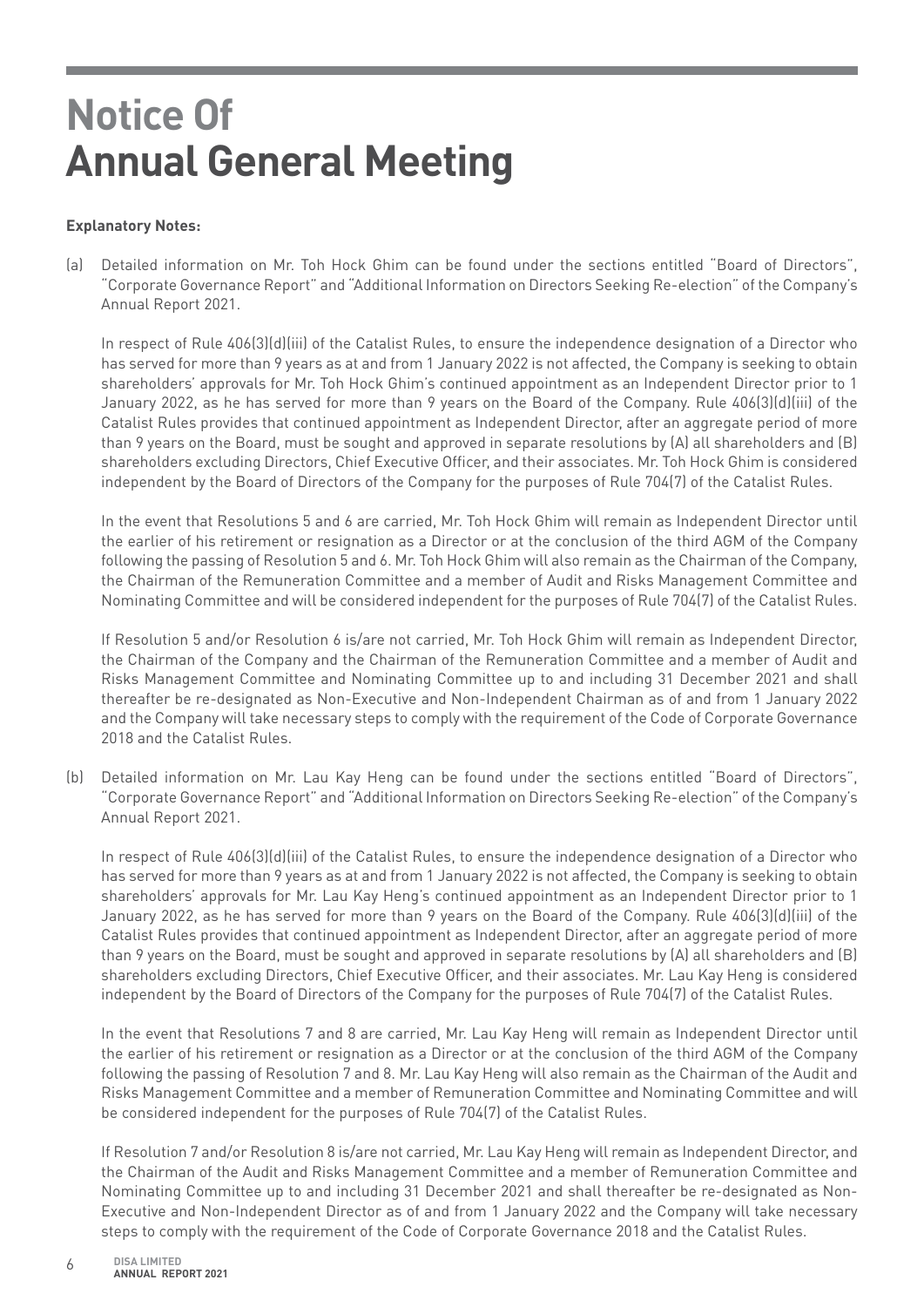## **Explanatory Notes:**

(a) Detailed information on Mr. Toh Hock Ghim can be found under the sections entitled "Board of Directors", "Corporate Governance Report" and "Additional Information on Directors Seeking Re-election" of the Company's Annual Report 2021.

In respect of Rule 406(3)(d)(iii) of the Catalist Rules, to ensure the independence designation of a Director who has served for more than 9 years as at and from 1 January 2022 is not affected, the Company is seeking to obtain shareholders' approvals for Mr. Toh Hock Ghim's continued appointment as an Independent Director prior to 1 January 2022, as he has served for more than 9 years on the Board of the Company. Rule 406(3)(d)(iii) of the Catalist Rules provides that continued appointment as Independent Director, after an aggregate period of more than 9 years on the Board, must be sought and approved in separate resolutions by (A) all shareholders and (B) shareholders excluding Directors, Chief Executive Officer, and their associates. Mr. Toh Hock Ghim is considered independent by the Board of Directors of the Company for the purposes of Rule 704(7) of the Catalist Rules.

In the event that Resolutions 5 and 6 are carried, Mr. Toh Hock Ghim will remain as Independent Director until the earlier of his retirement or resignation as a Director or at the conclusion of the third AGM of the Company following the passing of Resolution 5 and 6. Mr. Toh Hock Ghim will also remain as the Chairman of the Company, the Chairman of the Remuneration Committee and a member of Audit and Risks Management Committee and Nominating Committee and will be considered independent for the purposes of Rule 704(7) of the Catalist Rules.

If Resolution 5 and/or Resolution 6 is/are not carried, Mr. Toh Hock Ghim will remain as Independent Director, the Chairman of the Company and the Chairman of the Remuneration Committee and a member of Audit and Risks Management Committee and Nominating Committee up to and including 31 December 2021 and shall thereafter be re-designated as Non-Executive and Non-Independent Chairman as of and from 1 January 2022 and the Company will take necessary steps to comply with the requirement of the Code of Corporate Governance 2018 and the Catalist Rules.

(b) Detailed information on Mr. Lau Kay Heng can be found under the sections entitled "Board of Directors", "Corporate Governance Report" and "Additional Information on Directors Seeking Re-election" of the Company's Annual Report 2021.

In respect of Rule 406(3)(d)(iii) of the Catalist Rules, to ensure the independence designation of a Director who has served for more than 9 years as at and from 1 January 2022 is not affected, the Company is seeking to obtain shareholders' approvals for Mr. Lau Kay Heng's continued appointment as an Independent Director prior to 1 January 2022, as he has served for more than 9 years on the Board of the Company. Rule 406(3)(d)(iii) of the Catalist Rules provides that continued appointment as Independent Director, after an aggregate period of more than 9 years on the Board, must be sought and approved in separate resolutions by (A) all shareholders and (B) shareholders excluding Directors, Chief Executive Officer, and their associates. Mr. Lau Kay Heng is considered independent by the Board of Directors of the Company for the purposes of Rule 704(7) of the Catalist Rules.

In the event that Resolutions 7 and 8 are carried, Mr. Lau Kay Heng will remain as Independent Director until the earlier of his retirement or resignation as a Director or at the conclusion of the third AGM of the Company following the passing of Resolution 7 and 8. Mr. Lau Kay Heng will also remain as the Chairman of the Audit and Risks Management Committee and a member of Remuneration Committee and Nominating Committee and will be considered independent for the purposes of Rule 704(7) of the Catalist Rules.

If Resolution 7 and/or Resolution 8 is/are not carried, Mr. Lau Kay Heng will remain as Independent Director, and the Chairman of the Audit and Risks Management Committee and a member of Remuneration Committee and Nominating Committee up to and including 31 December 2021 and shall thereafter be re-designated as Non-Executive and Non-Independent Director as of and from 1 January 2022 and the Company will take necessary steps to comply with the requirement of the Code of Corporate Governance 2018 and the Catalist Rules.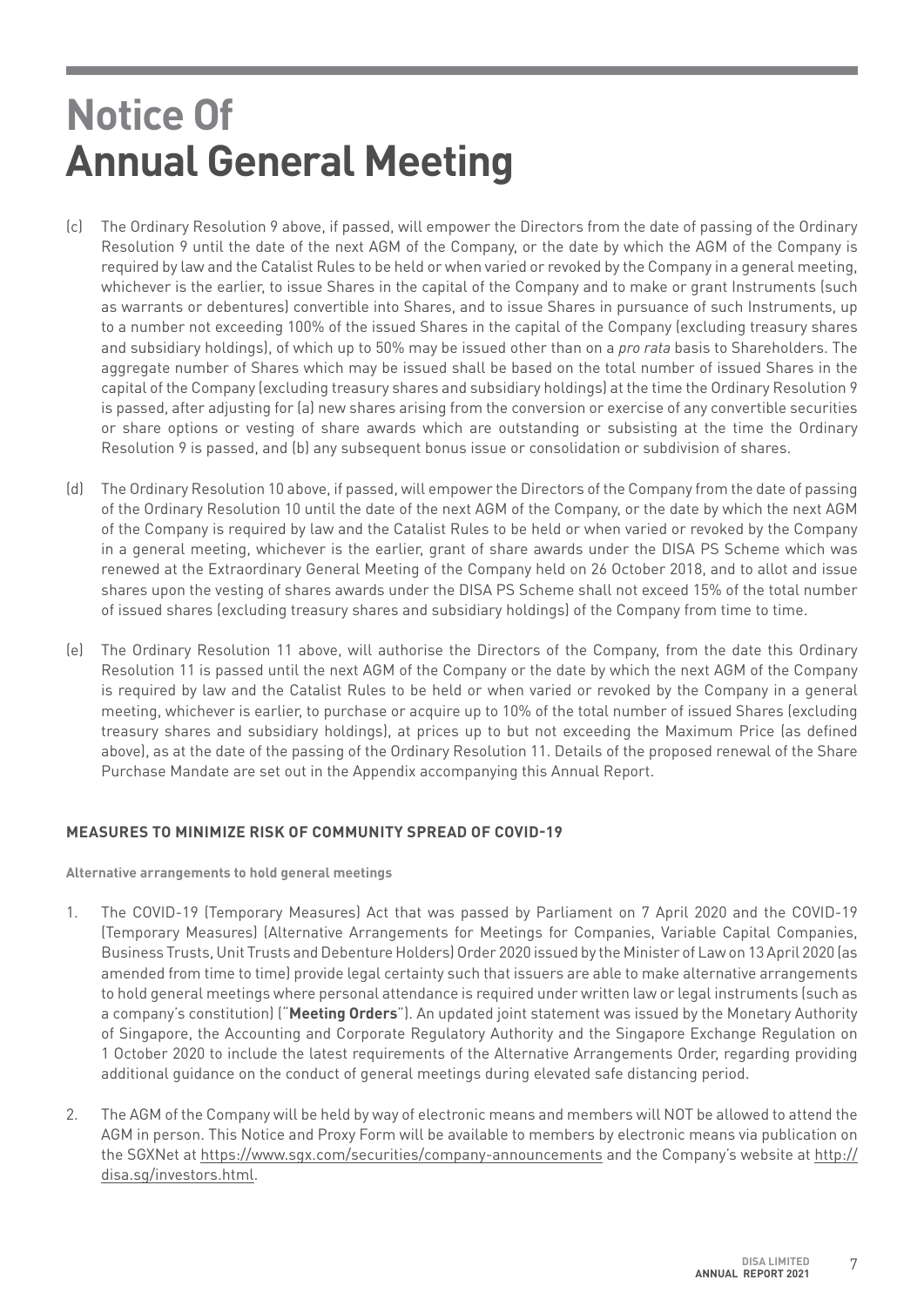- (c) The Ordinary Resolution 9 above, if passed, will empower the Directors from the date of passing of the Ordinary Resolution 9 until the date of the next AGM of the Company, or the date by which the AGM of the Company is required by law and the Catalist Rules to be held or when varied or revoked by the Company in a general meeting, whichever is the earlier, to issue Shares in the capital of the Company and to make or grant Instruments (such as warrants or debentures) convertible into Shares, and to issue Shares in pursuance of such Instruments, up to a number not exceeding 100% of the issued Shares in the capital of the Company (excluding treasury shares and subsidiary holdings), of which up to 50% may be issued other than on a *pro rata* basis to Shareholders. The aggregate number of Shares which may be issued shall be based on the total number of issued Shares in the capital of the Company (excluding treasury shares and subsidiary holdings) at the time the Ordinary Resolution 9 is passed, after adjusting for (a) new shares arising from the conversion or exercise of any convertible securities or share options or vesting of share awards which are outstanding or subsisting at the time the Ordinary Resolution 9 is passed, and (b) any subsequent bonus issue or consolidation or subdivision of shares.
- (d) The Ordinary Resolution 10 above, if passed, will empower the Directors of the Company from the date of passing of the Ordinary Resolution 10 until the date of the next AGM of the Company, or the date by which the next AGM of the Company is required by law and the Catalist Rules to be held or when varied or revoked by the Company in a general meeting, whichever is the earlier, grant of share awards under the DISA PS Scheme which was renewed at the Extraordinary General Meeting of the Company held on 26 October 2018, and to allot and issue shares upon the vesting of shares awards under the DISA PS Scheme shall not exceed 15% of the total number of issued shares (excluding treasury shares and subsidiary holdings) of the Company from time to time.
- (e) The Ordinary Resolution 11 above, will authorise the Directors of the Company, from the date this Ordinary Resolution 11 is passed until the next AGM of the Company or the date by which the next AGM of the Company is required by law and the Catalist Rules to be held or when varied or revoked by the Company in a general meeting, whichever is earlier, to purchase or acquire up to 10% of the total number of issued Shares (excluding treasury shares and subsidiary holdings), at prices up to but not exceeding the Maximum Price (as defined above), as at the date of the passing of the Ordinary Resolution 11. Details of the proposed renewal of the Share Purchase Mandate are set out in the Appendix accompanying this Annual Report.

## **MEASURES TO MINIMIZE RISK OF COMMUNITY SPREAD OF COVID-19**

**Alternative arrangements to hold general meetings**

- 1. The COVID-19 (Temporary Measures) Act that was passed by Parliament on 7 April 2020 and the COVID-19 (Temporary Measures) (Alternative Arrangements for Meetings for Companies, Variable Capital Companies, Business Trusts, Unit Trusts and Debenture Holders) Order 2020 issued by the Minister of Law on 13 April 2020 (as amended from time to time) provide legal certainty such that issuers are able to make alternative arrangements to hold general meetings where personal attendance is required under written law or legal instruments (such as a company's constitution) ("**Meeting Orders**"). An updated joint statement was issued by the Monetary Authority of Singapore, the Accounting and Corporate Regulatory Authority and the Singapore Exchange Regulation on 1 October 2020 to include the latest requirements of the Alternative Arrangements Order, regarding providing additional guidance on the conduct of general meetings during elevated safe distancing period.
- 2. The AGM of the Company will be held by way of electronic means and members will NOT be allowed to attend the AGM in person. This Notice and Proxy Form will be available to members by electronic means via publication on the SGXNet at https://www.sgx.com/securities/company-announcements and the Company's website at http:// disa.sg/investors.html.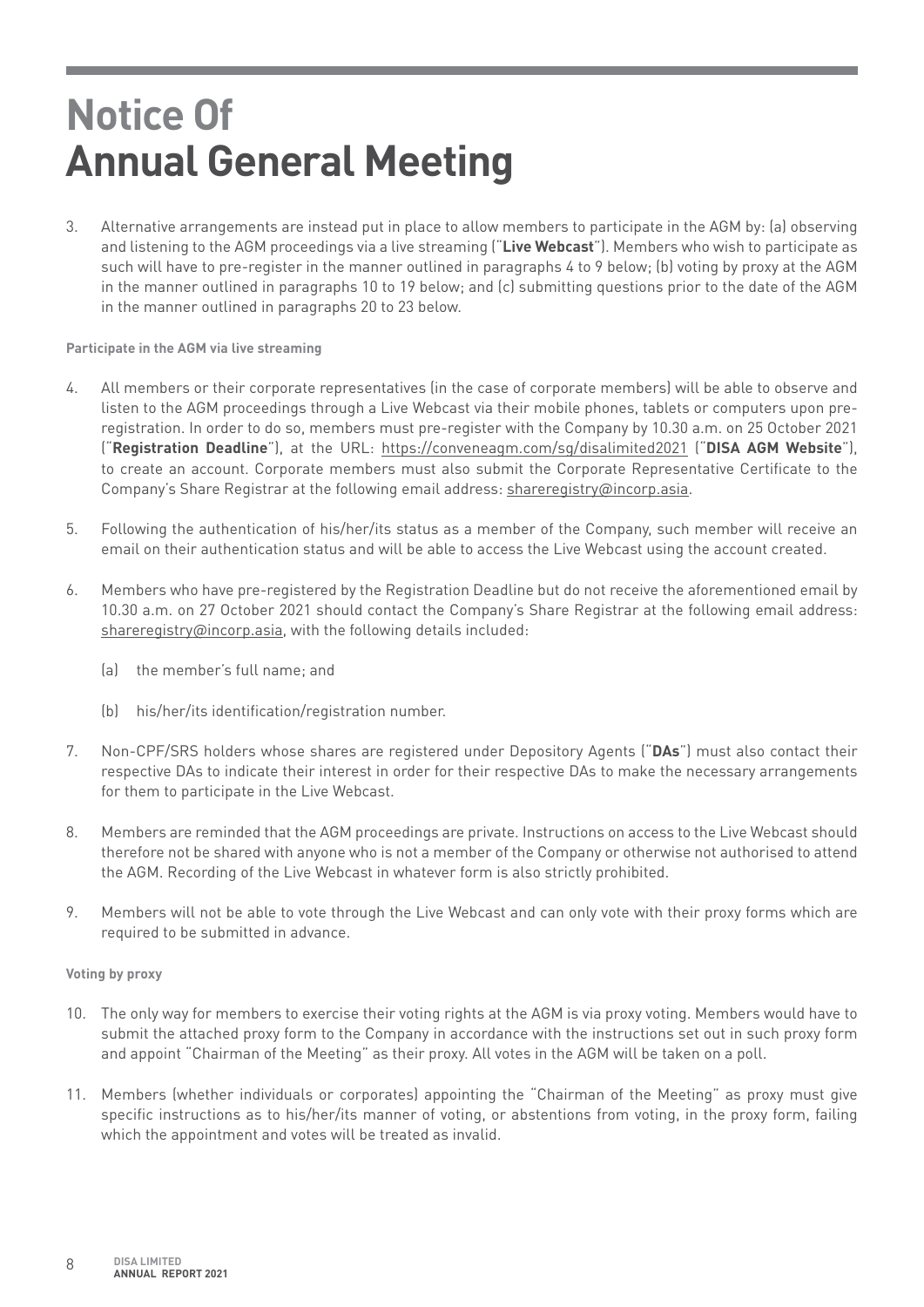3. Alternative arrangements are instead put in place to allow members to participate in the AGM by: (a) observing and listening to the AGM proceedings via a live streaming ("**Live Webcast**"). Members who wish to participate as such will have to pre-register in the manner outlined in paragraphs 4 to 9 below; (b) voting by proxy at the AGM in the manner outlined in paragraphs 10 to 19 below; and (c) submitting questions prior to the date of the AGM in the manner outlined in paragraphs 20 to 23 below.

#### **Participate in the AGM via live streaming**

- 4. All members or their corporate representatives (in the case of corporate members) will be able to observe and listen to the AGM proceedings through a Live Webcast via their mobile phones, tablets or computers upon preregistration. In order to do so, members must pre-register with the Company by 10.30 a.m. on 25 October 2021 ("**Registration Deadline**"), at the URL: https://conveneagm.com/sg/disalimited2021 ("**DISA AGM Website**"), to create an account. Corporate members must also submit the Corporate Representative Certificate to the Company's Share Registrar at the following email address: shareregistry@incorp.asia.
- 5. Following the authentication of his/her/its status as a member of the Company, such member will receive an email on their authentication status and will be able to access the Live Webcast using the account created.
- 6. Members who have pre-registered by the Registration Deadline but do not receive the aforementioned email by 10.30 a.m. on 27 October 2021 should contact the Company's Share Registrar at the following email address: shareregistry@incorp.asia, with the following details included:
	- (a) the member's full name; and
	- (b) his/her/its identification/registration number.
- 7. Non-CPF/SRS holders whose shares are registered under Depository Agents ("**DAs**") must also contact their respective DAs to indicate their interest in order for their respective DAs to make the necessary arrangements for them to participate in the Live Webcast.
- 8. Members are reminded that the AGM proceedings are private. Instructions on access to the Live Webcast should therefore not be shared with anyone who is not a member of the Company or otherwise not authorised to attend the AGM. Recording of the Live Webcast in whatever form is also strictly prohibited.
- 9. Members will not be able to vote through the Live Webcast and can only vote with their proxy forms which are required to be submitted in advance.

### **Voting by proxy**

- 10. The only way for members to exercise their voting rights at the AGM is via proxy voting. Members would have to submit the attached proxy form to the Company in accordance with the instructions set out in such proxy form and appoint "Chairman of the Meeting" as their proxy. All votes in the AGM will be taken on a poll.
- 11. Members (whether individuals or corporates) appointing the "Chairman of the Meeting" as proxy must give specific instructions as to his/her/its manner of voting, or abstentions from voting, in the proxy form, failing which the appointment and votes will be treated as invalid.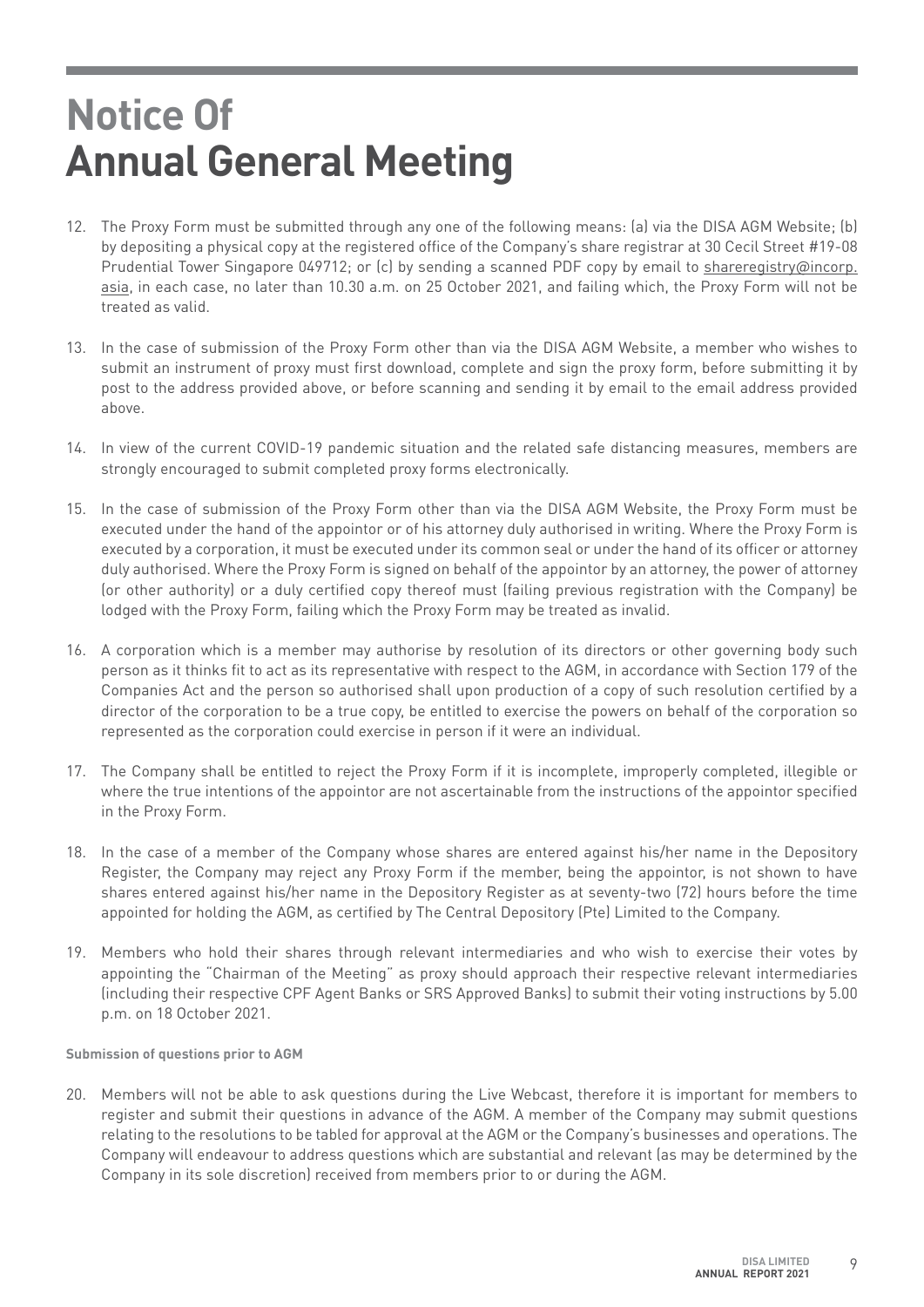- 12. The Proxy Form must be submitted through any one of the following means: (a) via the DISA AGM Website; (b) by depositing a physical copy at the registered office of the Company's share registrar at 30 Cecil Street #19-08 Prudential Tower Singapore 049712; or (c) by sending a scanned PDF copy by email to shareregistry@incorp. asia, in each case, no later than 10.30 a.m. on 25 October 2021, and failing which, the Proxy Form will not be treated as valid.
- 13. In the case of submission of the Proxy Form other than via the DISA AGM Website, a member who wishes to submit an instrument of proxy must first download, complete and sign the proxy form, before submitting it by post to the address provided above, or before scanning and sending it by email to the email address provided above.
- 14. In view of the current COVID-19 pandemic situation and the related safe distancing measures, members are strongly encouraged to submit completed proxy forms electronically.
- 15. In the case of submission of the Proxy Form other than via the DISA AGM Website, the Proxy Form must be executed under the hand of the appointor or of his attorney duly authorised in writing. Where the Proxy Form is executed by a corporation, it must be executed under its common seal or under the hand of its officer or attorney duly authorised. Where the Proxy Form is signed on behalf of the appointor by an attorney, the power of attorney (or other authority) or a duly certified copy thereof must (failing previous registration with the Company) be lodged with the Proxy Form, failing which the Proxy Form may be treated as invalid.
- 16. A corporation which is a member may authorise by resolution of its directors or other governing body such person as it thinks fit to act as its representative with respect to the AGM, in accordance with Section 179 of the Companies Act and the person so authorised shall upon production of a copy of such resolution certified by a director of the corporation to be a true copy, be entitled to exercise the powers on behalf of the corporation so represented as the corporation could exercise in person if it were an individual.
- 17. The Company shall be entitled to reject the Proxy Form if it is incomplete, improperly completed, illegible or where the true intentions of the appointor are not ascertainable from the instructions of the appointor specified in the Proxy Form.
- 18. In the case of a member of the Company whose shares are entered against his/her name in the Depository Register, the Company may reject any Proxy Form if the member, being the appointor, is not shown to have shares entered against his/her name in the Depository Register as at seventy-two (72) hours before the time appointed for holding the AGM, as certified by The Central Depository (Pte) Limited to the Company.
- 19. Members who hold their shares through relevant intermediaries and who wish to exercise their votes by appointing the "Chairman of the Meeting" as proxy should approach their respective relevant intermediaries (including their respective CPF Agent Banks or SRS Approved Banks) to submit their voting instructions by 5.00 p.m. on 18 October 2021.

**Submission of questions prior to AGM**

20. Members will not be able to ask questions during the Live Webcast, therefore it is important for members to register and submit their questions in advance of the AGM. A member of the Company may submit questions relating to the resolutions to be tabled for approval at the AGM or the Company's businesses and operations. The Company will endeavour to address questions which are substantial and relevant (as may be determined by the Company in its sole discretion) received from members prior to or during the AGM.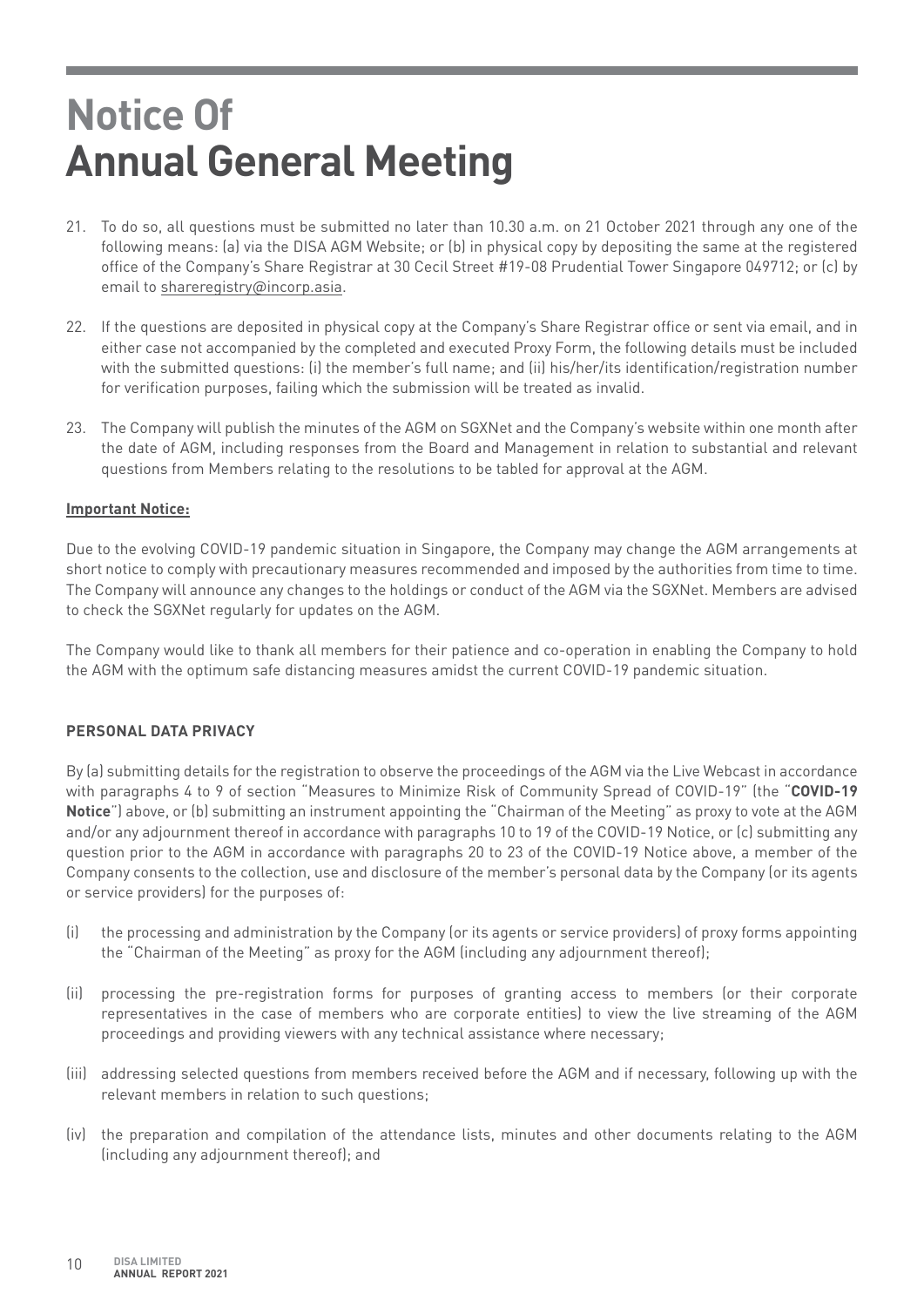- 21. To do so, all questions must be submitted no later than 10.30 a.m. on 21 October 2021 through any one of the following means: (a) via the DISA AGM Website; or (b) in physical copy by depositing the same at the registered office of the Company's Share Registrar at 30 Cecil Street #19-08 Prudential Tower Singapore 049712; or (c) by email to shareregistry@incorp.asia.
- 22. If the questions are deposited in physical copy at the Company's Share Registrar office or sent via email, and in either case not accompanied by the completed and executed Proxy Form, the following details must be included with the submitted questions: (i) the member's full name; and (ii) his/her/its identification/registration number for verification purposes, failing which the submission will be treated as invalid.
- 23. The Company will publish the minutes of the AGM on SGXNet and the Company's website within one month after the date of AGM, including responses from the Board and Management in relation to substantial and relevant questions from Members relating to the resolutions to be tabled for approval at the AGM.

## **Important Notice:**

Due to the evolving COVID-19 pandemic situation in Singapore, the Company may change the AGM arrangements at short notice to comply with precautionary measures recommended and imposed by the authorities from time to time. The Company will announce any changes to the holdings or conduct of the AGM via the SGXNet. Members are advised to check the SGXNet regularly for updates on the AGM.

The Company would like to thank all members for their patience and co-operation in enabling the Company to hold the AGM with the optimum safe distancing measures amidst the current COVID-19 pandemic situation.

## **PERSONAL DATA PRIVACY**

By (a) submitting details for the registration to observe the proceedings of the AGM via the Live Webcast in accordance with paragraphs 4 to 9 of section "Measures to Minimize Risk of Community Spread of COVID-19" (the "**COVID-19 Notice**") above, or (b) submitting an instrument appointing the "Chairman of the Meeting" as proxy to vote at the AGM and/or any adjournment thereof in accordance with paragraphs 10 to 19 of the COVID-19 Notice, or (c) submitting any question prior to the AGM in accordance with paragraphs 20 to 23 of the COVID-19 Notice above, a member of the Company consents to the collection, use and disclosure of the member's personal data by the Company (or its agents or service providers) for the purposes of:

- (i) the processing and administration by the Company (or its agents or service providers) of proxy forms appointing the "Chairman of the Meeting" as proxy for the AGM (including any adjournment thereof);
- (ii) processing the pre-registration forms for purposes of granting access to members (or their corporate representatives in the case of members who are corporate entities) to view the live streaming of the AGM proceedings and providing viewers with any technical assistance where necessary;
- (iii) addressing selected questions from members received before the AGM and if necessary, following up with the relevant members in relation to such questions;
- (iv) the preparation and compilation of the attendance lists, minutes and other documents relating to the AGM (including any adjournment thereof); and